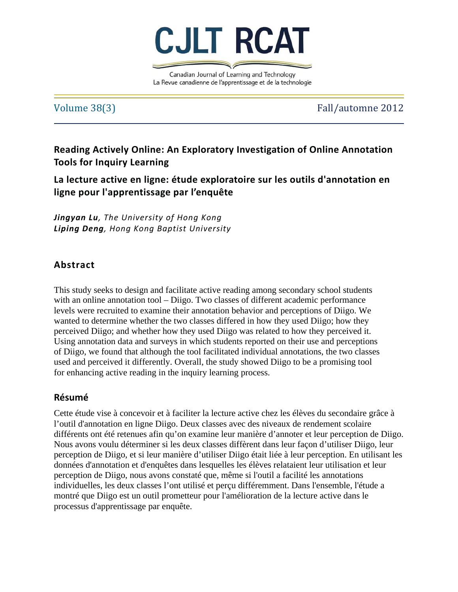

Canadian Journal of Learning and Technology La Revue canadienne de l'apprentissage et de la technologie

# **Volume 38(3)**

all/automne 2012

Reading Actively Online: An Exploratory Investigation of Online Annotation **Tools for Inquiry Learning** 

La lecture active en ligne: étude exploratoire sur les outils d'annotation en ligne pour l'apprentissage par l'enquête

**Jingyan Lu**, The University of Hong Kong Liping Deng, Hong Kong Baptist University

# Abstract

This study seeks to design and facilitate active reading among secondary school students with an online annotation tool – Diigo. Two classes of different academic performance levels were recruited to examine their annotation behavior and perceptions of Diigo. We wanted to determine whether the two classes differed in how they used Diigo; how they perceived Diigo; and whether how they used Diigo was related to how they perceived it. Using annotation data and surveys in which students reported on their use and perceptions of Diigo, we found that although the tool facilitated individual annotations, the two classes used and perceived it differently. Overall, the study showed Diigo to be a promising tool for enhancing active reading in the inquiry learning process.

# Résumé

Cette étude vise à concevoir et à faciliter la lecture active chez les élèves du secondaire grâce à l'outil d'annotation en ligne Diigo. Deux classes avec des niveaux de rendement scolaire différents ont été retenues afin qu'on examine leur manière d'annoter et leur perception de Diigo. Nous avons voulu déterminer si les deux classes diffèrent dans leur façon d'utiliser Diigo, leur perception de Diigo, et si leur manière d'utiliser Diigo était liée à leur perception. En utilisant les données d'annotation et d'enquêtes dans lesquelles les élèves relataient leur utilisation et leur perception de Diigo, nous avons constaté que, même si l'outil a facilité les annotations individuelles, les deux classes l'ont utilisé et perçu différemment. Dans l'ensemble, l'étude a montré que Diigo est un outil prometteur pour l'amélioration de la lecture active dans le processus d'apprentissage par enquête.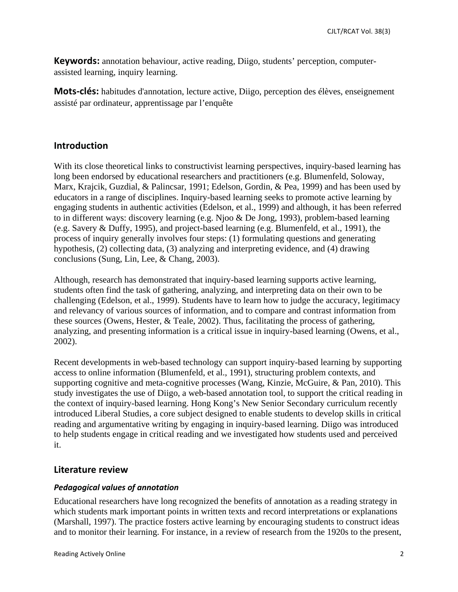Keywords: annotation behaviour, active reading, Diigo, students' perception, computerassisted learning, inquiry learning.

**Mots-clés:** habitudes d'annotation, lecture active, Diigo, perception des élèves, enseignement assisté par ordinateur, apprentissage par l'enquête

# **Introduction**

With its close theoretical links to constructivist learning perspectives, inquiry-based learning has long been endorsed by educational researchers and practitioners (e.g. Blumenfeld, Soloway, Marx, Krajcik, Guzdial, & Palincsar, 1991; Edelson, Gordin, & Pea, 1999) and has been used by educators in a range of disciplines. Inquiry-based learning seeks to promote active learning by engaging students in authentic activities (Edelson, et al., 1999) and although, it has been referred to in different ways: discovery learning (e.g. Njoo & De Jong, 1993), problem-based learning (e.g. Savery & Duffy, 1995), and project-based learning (e.g. Blumenfeld, et al., 1991), the process of inquiry generally involves four steps: (1) formulating questions and generating hypothesis, (2) collecting data, (3) analyzing and interpreting evidence, and (4) drawing conclusions (Sung, Lin, Lee, & Chang, 2003).

Although, research has demonstrated that inquiry-based learning supports active learning, students often find the task of gathering, analyzing, and interpreting data on their own to be challenging (Edelson, et al., 1999). Students have to learn how to judge the accuracy, legitimacy and relevancy of various sources of information, and to compare and contrast information from these sources (Owens, Hester, & Teale, 2002). Thus, facilitating the process of gathering, analyzing, and presenting information is a critical issue in inquiry-based learning (Owens, et al., 2002).

Recent developments in web-based technology can support inquiry-based learning by supporting access to online information (Blumenfeld, et al., 1991), structuring problem contexts, and supporting cognitive and meta-cognitive processes (Wang, Kinzie, McGuire, & Pan, 2010). This study investigates the use of Diigo, a web-based annotation tool, to support the critical reading in the context of inquiry-based learning. Hong Kong's New Senior Secondary curriculum recently introduced Liberal Studies, a core subject designed to enable students to develop skills in critical reading and argumentative writing by engaging in inquiry-based learning. Diigo was introduced to help students engage in critical reading and we investigated how students used and perceived it.

## Literature review

## **Pedagogical values of annotation**

Educational researchers have long recognized the benefits of annotation as a reading strategy in which students mark important points in written texts and record interpretations or explanations (Marshall, 1997). The practice fosters active learning by encouraging students to construct ideas and to monitor their learning. For instance, in a review of research from the 1920s to the present,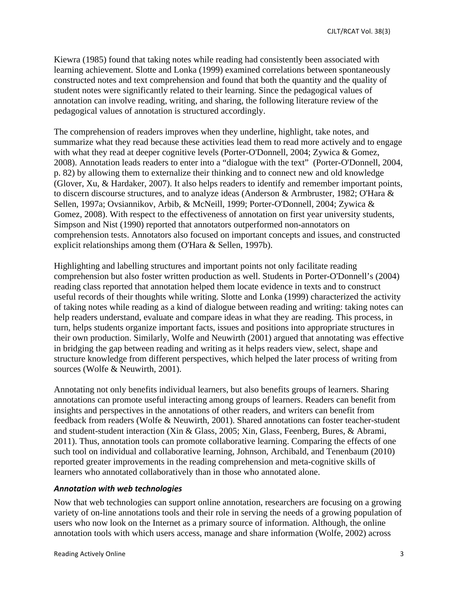Kiewra (1985) found that taking notes while reading had consistently been associated with learning achievement. Slotte and Lonka (1999) examined correlations between spontaneously constructed notes and text comprehension and found that both the quantity and the quality of student notes were significantly related to their learning. Since the pedagogical values of annotation can involve reading, writing, and sharing, the following literature review of the pedagogical values of annotation is structured accordingly.

The comprehension of readers improves when they underline, highlight, take notes, and summarize what they read because these activities lead them to read more actively and to engage with what they read at deeper cognitive levels (Porter-O'Donnell, 2004; Zywica & Gomez, 2008). Annotation leads readers to enter into a "dialogue with the text" (Porter-O'Donnell, 2004, p. 82) by allowing them to externalize their thinking and to connect new and old knowledge (Glover, Xu, & Hardaker, 2007). It also helps readers to identify and remember important points, to discern discourse structures, and to analyze ideas (Anderson & Armbruster, 1982; O'Hara & Sellen, 1997a; Ovsiannikov, Arbib, & McNeill, 1999; Porter-O'Donnell, 2004; Zywica & Gomez, 2008). With respect to the effectiveness of annotation on first year university students, Simpson and Nist (1990) reported that annotators outperformed non-annotators on comprehension tests. Annotators also focused on important concepts and issues, and constructed explicit relationships among them (O'Hara & Sellen, 1997b).

Highlighting and labelling structures and important points not only facilitate reading comprehension but also foster written production as well. Students in Porter-O'Donnell's (2004) reading class reported that annotation helped them locate evidence in texts and to construct useful records of their thoughts while writing. Slotte and Lonka (1999) characterized the activity of taking notes while reading as a kind of dialogue between reading and writing: taking notes can help readers understand, evaluate and compare ideas in what they are reading. This process, in turn, helps students organize important facts, issues and positions into appropriate structures in their own production. Similarly, Wolfe and Neuwirth (2001) argued that annotating was effective in bridging the gap between reading and writing as it helps readers view, select, shape and structure knowledge from different perspectives, which helped the later process of writing from sources (Wolfe & Neuwirth, 2001).

Annotating not only benefits individual learners, but also benefits groups of learners. Sharing annotations can promote useful interacting among groups of learners. Readers can benefit from insights and perspectives in the annotations of other readers, and writers can benefit from feedback from readers (Wolfe & Neuwirth, 2001). Shared annotations can foster teacher-student and student-student interaction (Xin & Glass, 2005; Xin, Glass, Feenberg, Bures, & Abrami, 2011). Thus, annotation tools can promote collaborative learning. Comparing the effects of one such tool on individual and collaborative learning, Johnson, Archibald, and Tenenbaum (2010) reported greater improvements in the reading comprehension and meta-cognitive skills of learners who annotated collaboratively than in those who annotated alone.

#### Annotation with web technologies

Now that web technologies can support online annotation, researchers are focusing on a growing variety of on-line annotations tools and their role in serving the needs of a growing population of users who now look on the Internet as a primary source of information. Although, the online annotation tools with which users access, manage and share information (Wolfe, 2002) across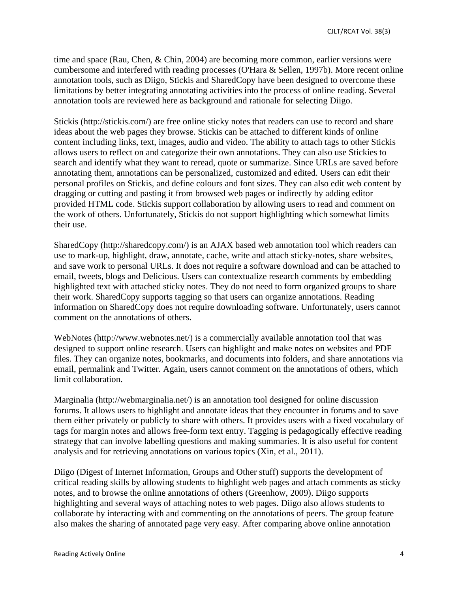time and space (Rau, Chen, & Chin, 2004) are becoming more common, earlier versions were cumbersome and interfered with reading processes (O'Hara & Sellen, 1997b). More recent online annotation tools, such as Diigo, Stickis and SharedCopy have been designed to overcome these limitations by better integrating annotating activities into the process of online reading. Several annotation tools are reviewed here as background and rationale for selecting Diigo.

Stickis (http://stickis.com/) are free online sticky notes that readers can use to record and share ideas about the web pages they browse. Stickis can be attached to different kinds of online content including links, text, images, audio and video. The ability to attach tags to other Stickis allows users to reflect on and categorize their own annotations. They can also use Stickies to search and identify what they want to reread, quote or summarize. Since URLs are saved before annotating them, annotations can be personalized, customized and edited. Users can edit their personal profiles on Stickis, and define colours and font sizes. They can also edit web content by dragging or cutting and pasting it from browsed web pages or indirectly by adding editor provided HTML code. Stickis support collaboration by allowing users to read and comment on the work of others. Unfortunately, Stickis do not support highlighting which somewhat limits their use.

SharedCopy (http://sharedcopy.com/) is an AJAX based web annotation tool which readers can use to mark-up, highlight, draw, annotate, cache, write and attach sticky-notes, share websites, and save work to personal URLs. It does not require a software download and can be attached to email, tweets, blogs and Delicious. Users can contextualize research comments by embedding highlighted text with attached sticky notes. They do not need to form organized groups to share their work. SharedCopy supports tagging so that users can organize annotations. Reading information on SharedCopy does not require downloading software. Unfortunately, users cannot comment on the annotations of others.

WebNotes (http://www.webnotes.net/) is a commercially available annotation tool that was designed to support online research. Users can highlight and make notes on websites and PDF files. They can organize notes, bookmarks, and documents into folders, and share annotations via email, permalink and Twitter. Again, users cannot comment on the annotations of others, which limit collaboration.

Marginalia (http://webmarginalia.net/) is an annotation tool designed for online discussion forums. It allows users to highlight and annotate ideas that they encounter in forums and to save them either privately or publicly to share with others. It provides users with a fixed vocabulary of tags for margin notes and allows free-form text entry. Tagging is pedagogically effective reading strategy that can involve labelling questions and making summaries. It is also useful for content analysis and for retrieving annotations on various topics (Xin, et al., 2011).

Diigo (Digest of Internet Information, Groups and Other stuff) supports the development of critical reading skills by allowing students to highlight web pages and attach comments as sticky notes, and to browse the online annotations of others (Greenhow, 2009). Diigo supports highlighting and several ways of attaching notes to web pages. Diigo also allows students to collaborate by interacting with and commenting on the annotations of peers. The group feature also makes the sharing of annotated page very easy. After comparing above online annotation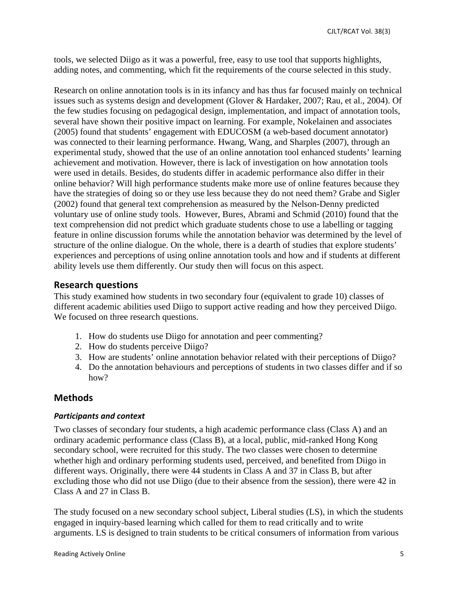tools, we selected Diigo as it was a powerful, free, easy to use tool that supports highlights, adding notes, and commenting, which fit the requirements of the course selected in this study.

Research on online annotation tools is in its infancy and has thus far focused mainly on technical issues such as systems design and development (Glover & Hardaker, 2007; Rau, et al., 2004). Of the few studies focusing on pedagogical design, implementation, and impact of annotation tools, several have shown their positive impact on learning. For example, Nokelainen and associates (2005) found that students' engagement with EDUCOSM (a web-based document annotator) was connected to their learning performance. Hwang, Wang, and Sharples (2007), through an experimental study, showed that the use of an online annotation tool enhanced students' learning achievement and motivation. However, there is lack of investigation on how annotation tools were used in details. Besides, do students differ in academic performance also differ in their online behavior? Will high performance students make more use of online features because they have the strategies of doing so or they use less because they do not need them? Grabe and Sigler (2002) found that general text comprehension as measured by the Nelson-Denny predicted voluntary use of online study tools. However, Bures, Abrami and Schmid (2010) found that the text comprehension did not predict which graduate students chose to use a labelling or tagging feature in online discussion forums while the annotation behavior was determined by the level of structure of the online dialogue. On the whole, there is a dearth of studies that explore students' experiences and perceptions of using online annotation tools and how and if students at different ability levels use them differently. Our study then will focus on this aspect.

## **Research questions**

This study examined how students in two secondary four (equivalent to grade 10) classes of different academic abilities used Diigo to support active reading and how they perceived Diigo. We focused on three research questions.

- 1. How do students use Diigo for annotation and peer commenting?
- 2. How do students perceive Diigo?
- 3. How are students' online annotation behavior related with their perceptions of Diigo?
- 4. Do the annotation behaviours and perceptions of students in two classes differ and if so how?

# **Methods**

## **Participants and context**

Two classes of secondary four students, a high academic performance class (Class A) and an ordinary academic performance class (Class B), at a local, public, mid-ranked Hong Kong secondary school, were recruited for this study. The two classes were chosen to determine whether high and ordinary performing students used, perceived, and benefited from Diigo in different ways. Originally, there were 44 students in Class A and 37 in Class B, but after excluding those who did not use Diigo (due to their absence from the session), there were 42 in Class A and 27 in Class B.

The study focused on a new secondary school subject, Liberal studies (LS), in which the students engaged in inquiry-based learning which called for them to read critically and to write arguments. LS is designed to train students to be critical consumers of information from various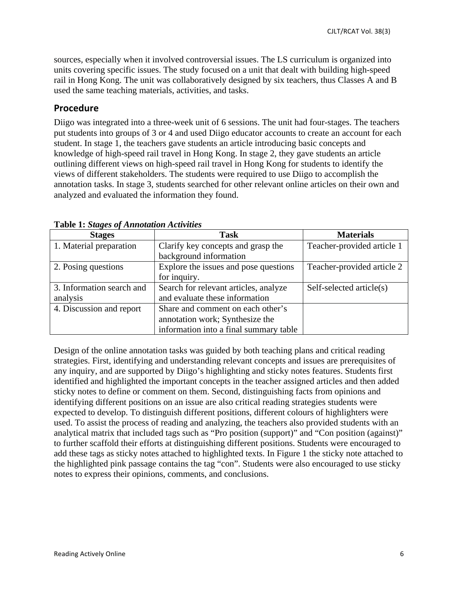sources, especially when it involved controversial issues. The LS curriculum is organized into units covering specific issues. The study focused on a unit that dealt with building high-speed rail in Hong Kong. The unit was collaboratively designed by six teachers, thus Classes A and B used the same teaching materials, activities, and tasks.

# **Procedure**

Diigo was integrated into a three-week unit of 6 sessions. The unit had four-stages. The teachers put students into groups of 3 or 4 and used Diigo educator accounts to create an account for each student. In stage 1, the teachers gave students an article introducing basic concepts and knowledge of high-speed rail travel in Hong Kong. In stage 2, they gave students an article outlining different views on high-speed rail travel in Hong Kong for students to identify the views of different stakeholders. The students were required to use Diigo to accomplish the annotation tasks. In stage 3, students searched for other relevant online articles on their own and analyzed and evaluated the information they found.

| <b>Stages</b>             | <b>Task</b>                            | <b>Materials</b>           |  |
|---------------------------|----------------------------------------|----------------------------|--|
| 1. Material preparation   | Clarify key concepts and grasp the     | Teacher-provided article 1 |  |
|                           | background information                 |                            |  |
| 2. Posing questions       | Explore the issues and pose questions  | Teacher-provided article 2 |  |
|                           | for inquiry.                           |                            |  |
| 3. Information search and | Search for relevant articles, analyze  | Self-selected article(s)   |  |
| analysis                  | and evaluate these information         |                            |  |
| 4. Discussion and report  | Share and comment on each other's      |                            |  |
|                           | annotation work; Synthesize the        |                            |  |
|                           | information into a final summary table |                            |  |

#### **Table 1:** *Stages of Annotation Activities*

Design of the online annotation tasks was guided by both teaching plans and critical reading strategies. First, identifying and understanding relevant concepts and issues are prerequisites of any inquiry, and are supported by Diigo's highlighting and sticky notes features. Students first identified and highlighted the important concepts in the teacher assigned articles and then added sticky notes to define or comment on them. Second, distinguishing facts from opinions and identifying different positions on an issue are also critical reading strategies students were expected to develop. To distinguish different positions, different colours of highlighters were used. To assist the process of reading and analyzing, the teachers also provided students with an analytical matrix that included tags such as "Pro position (support)" and "Con position (against)" to further scaffold their efforts at distinguishing different positions. Students were encouraged to add these tags as sticky notes attached to highlighted texts. In Figure 1 the sticky note attached to the highlighted pink passage contains the tag "con". Students were also encouraged to use sticky notes to express their opinions, comments, and conclusions.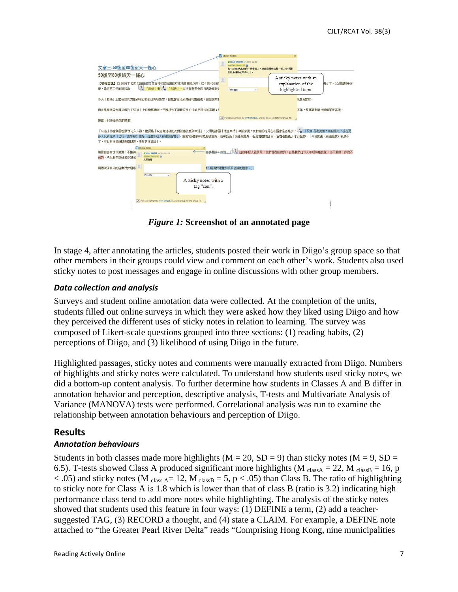|                                                                                                                                                                                                                                                                                                           | <b>G</b> Sticky Notes                            | $\times$                                                              |                                                                                                    |
|-----------------------------------------------------------------------------------------------------------------------------------------------------------------------------------------------------------------------------------------------------------------------------------------------------------|--------------------------------------------------|-----------------------------------------------------------------------|----------------------------------------------------------------------------------------------------|
| 文章三:50後至80後這天一條心                                                                                                                                                                                                                                                                                          | @ WAN UNIQUE on 2010-02-02<br>09104C Group 10 11 | 指1980年代出生的一代香港人,狭井则是林指郡一代人中活躍                                         |                                                                                                    |
| 50後至80後這天一條心                                                                                                                                                                                                                                                                                              | 於社會運動的年青人士,                                      |                                                                       | A sticky notes with an                                                                             |
| 【明報專課】自 2008年12月12日適否名某國村村民抗議政府收地起高鐵以來,这今約400日<br>1. [80後] 對 1. [50後] · 立法會財委會昨日表決高騰!<br>张, 采近更二元地筆括為                                                                                                                                                                                                     | Private                                          | ۰                                                                     | <b>害少年、父母到對子女</b><br>explanation of the<br>highlighted term                                        |
| 昨天「戰場」上的各世代力量卻用行動表達回樣訴求,由批評高鐵到臂靜利益輸送,由撒鎖功制                                                                                                                                                                                                                                                                |                                                  |                                                                       | 仔煙消雲散。                                                                                             |
| 自言是高機晶大得益者的「50後」上位建築商說,不賺錢也不能埋沒良心播缺乏諮詢的高機;                                                                                                                                                                                                                                                                |                                                  |                                                                       | <b>青年,壁稿要到廣州派傳單反高鐵。</b>                                                                            |
| 陳雲:80後是為我們遭罪                                                                                                                                                                                                                                                                                              |                                                  | A. Personal highlight by WAN UNIQUE, shared to group 09104C Group 10. |                                                                                                    |
| 「60後丨作家隨雲也悄悄走入人群,他認為「政府有這樣的反對派應該感到盡運丨,又引述德國「議血客相丨卑斯麥說,反對黨的格局左右國家是否進步,<br>多人玩新花款(苦行、喜年華)更好,這些年輕人都很有智慧」。對於官民對峙可能導致衝突,他卻認為「有衝突更好,香港現在的自 由,就在暴動後」才衍生的<br>了,可以有多些時間暴露問題,爭取更多討論」。<br><b>G</b> Sticky Notes<br><b>陳雲自言有世代鴻溝,不懂與</b><br>@ WAN UNIQUE on 2010-02-05<br>09104C Group 10 窗<br>到的,所以我們50後和60後<br>反面意見 | 高挑眼論。份授                                          |                                                                       | $\frac{4}{11}$<br>「只有 長毛捻焦,有點核突,現在更<br>「今日如果 (高鐵撥款) 表決不<br>這些年輕人得勇數,他們現在所做的,正是我們這代人年輕時應該做,但不齡做,亦做不 |
| 兩個従深圳來的自由行女遊客                                                                                                                                                                                                                                                                                             | h, 還有對理性和公平討論的追求。」                               |                                                                       |                                                                                                    |
| Private<br>٠                                                                                                                                                                                                                                                                                              | A sticky notes with a<br>tag "con".              |                                                                       |                                                                                                    |
| 2. Personal highlight by WAN UNQUE, shared to group 09104C Group 10.                                                                                                                                                                                                                                      |                                                  |                                                                       |                                                                                                    |

*Figure 1:* **Screenshot of an annotated page** 

In stage 4, after annotating the articles, students posted their work in Diigo's group space so that other members in their groups could view and comment on each other's work. Students also used sticky notes to post messages and engage in online discussions with other group members.

#### **Data collection and analysis**

Surveys and student online annotation data were collected. At the completion of the units, students filled out online surveys in which they were asked how they liked using Diigo and how they perceived the different uses of sticky notes in relation to learning. The survey was composed of Likert-scale questions grouped into three sections: (1) reading habits, (2) perceptions of Diigo, and (3) likelihood of using Diigo in the future.

Highlighted passages, sticky notes and comments were manually extracted from Diigo. Numbers of highlights and sticky notes were calculated. To understand how students used sticky notes, we did a bottom-up content analysis. To further determine how students in Classes A and B differ in annotation behavior and perception, descriptive analysis, T-tests and Multivariate Analysis of Variance (MANOVA) tests were performed. Correlational analysis was run to examine the relationship between annotation behaviours and perception of Diigo.

## **Results**

## *Annotation behaviours*

Students in both classes made more highlights ( $M = 20$ ,  $SD = 9$ ) than sticky notes ( $M = 9$ ,  $SD =$ 6.5). T-tests showed Class A produced significant more highlights (M  $_{\text{classA}} = 22$ , M  $_{\text{classB}} = 16$ , p  $<$  .05) and sticky notes (M class A= 12, M class B = 5, p  $<$  .05) than Class B. The ratio of highlighting to sticky note for Class A is 1.8 which is lower than that of class B (ratio is 3.2) indicating high performance class tend to add more notes while highlighting. The analysis of the sticky notes showed that students used this feature in four ways: (1) DEFINE a term, (2) add a teachersuggested TAG, (3) RECORD a thought, and (4) state a CLAIM. For example, a DEFINE note attached to "the Greater Pearl River Delta" reads "Comprising Hong Kong, nine municipalities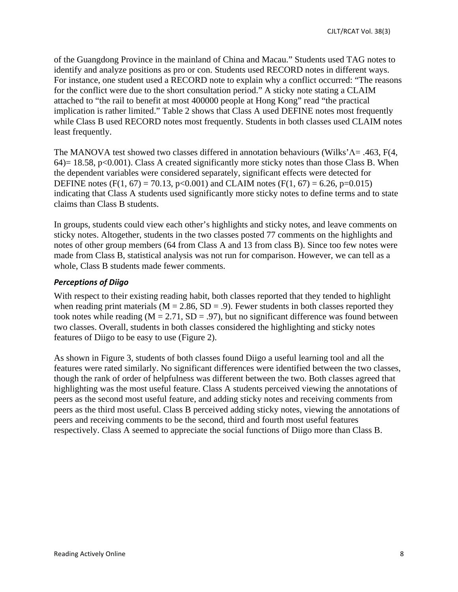of the Guangdong Province in the mainland of China and Macau." Students used TAG notes to identify and analyze positions as pro or con. Students used RECORD notes in different ways. For instance, one student used a RECORD note to explain why a conflict occurred: "The reasons for the conflict were due to the short consultation period." A sticky note stating a CLAIM attached to "the rail to benefit at most 400000 people at Hong Kong" read "the practical implication is rather limited." Table 2 shows that Class A used DEFINE notes most frequently while Class B used RECORD notes most frequently. Students in both classes used CLAIM notes least frequently.

The MANOVA test showed two classes differed in annotation behaviours (Wilks'Λ= .463, F(4,  $64$  = 18.58, p<0.001). Class A created significantly more sticky notes than those Class B. When the dependent variables were considered separately, significant effects were detected for DEFINE notes (F(1, 67) = 70.13, p<0.001) and CLAIM notes (F(1, 67) = 6.26, p=0.015) indicating that Class A students used significantly more sticky notes to define terms and to state claims than Class B students.

In groups, students could view each other's highlights and sticky notes, and leave comments on sticky notes. Altogether, students in the two classes posted 77 comments on the highlights and notes of other group members (64 from Class A and 13 from class B). Since too few notes were made from Class B, statistical analysis was not run for comparison. However, we can tell as a whole, Class B students made fewer comments.

#### Perceptions of Diigo

With respect to their existing reading habit, both classes reported that they tended to highlight when reading print materials ( $M = 2.86$ ,  $SD = .9$ ). Fewer students in both classes reported they took notes while reading  $(M = 2.71, SD = .97)$ , but no significant difference was found between two classes. Overall, students in both classes considered the highlighting and sticky notes features of Diigo to be easy to use (Figure 2).

As shown in Figure 3, students of both classes found Diigo a useful learning tool and all the features were rated similarly. No significant differences were identified between the two classes, though the rank of order of helpfulness was different between the two. Both classes agreed that highlighting was the most useful feature. Class A students perceived viewing the annotations of peers as the second most useful feature, and adding sticky notes and receiving comments from peers as the third most useful. Class B perceived adding sticky notes, viewing the annotations of peers and receiving comments to be the second, third and fourth most useful features respectively. Class A seemed to appreciate the social functions of Diigo more than Class B.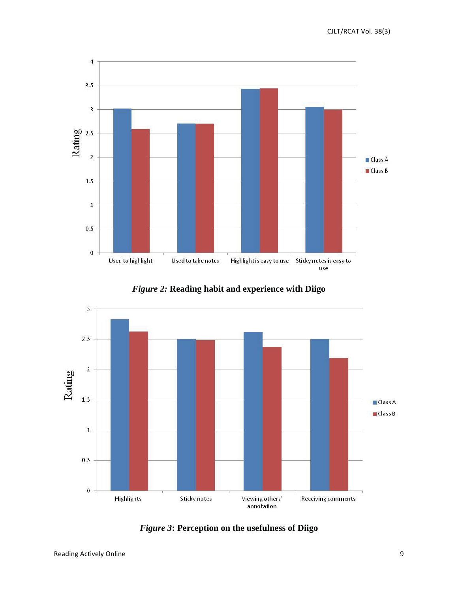

*Figure 2:* **Reading habit and experience with Diigo** 



*Figure 3***: Perception on the usefulness of Diigo**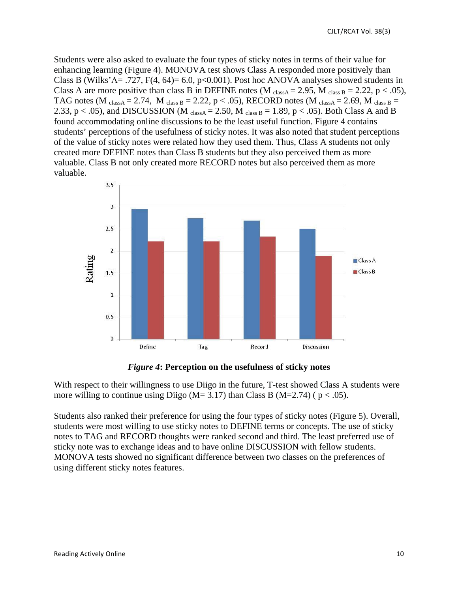Students were also asked to evaluate the four types of sticky notes in terms of their value for enhancing learning (Figure 4). MONOVA test shows Class A responded more positively than Class B (Wilks' $\Delta$  = .727, F(4, 64) = 6.0, p<0.001). Post hoc ANOVA analyses showed students in Class A are more positive than class B in DEFINE notes (M  $_{\text{class}} = 2.95$ , M  $_{\text{class}} = 2.22$ , p < .05), TAG notes (M  $_{\text{class A}} = 2.74$ , M  $_{\text{class B}} = 2.22$ , p < .05), RECORD notes (M  $_{\text{class A}} = 2.69$ , M  $_{\text{class B}} =$ 2.33, p < .05), and DISCUSSION (M class A = 2.50, M class B = 1.89, p < .05). Both Class A and B found accommodating online discussions to be the least useful function. Figure 4 contains students' perceptions of the usefulness of sticky notes. It was also noted that student perceptions of the value of sticky notes were related how they used them. Thus, Class A students not only created more DEFINE notes than Class B students but they also perceived them as more valuable. Class B not only created more RECORD notes but also perceived them as more valuable.



*Figure 4***: Perception on the usefulness of sticky notes** 

With respect to their willingness to use Diigo in the future, T-test showed Class A students were more willing to continue using Diigo (M= 3.17) than Class B (M=2.74) ( $p < .05$ ).

Students also ranked their preference for using the four types of sticky notes (Figure 5). Overall, students were most willing to use sticky notes to DEFINE terms or concepts. The use of sticky notes to TAG and RECORD thoughts were ranked second and third. The least preferred use of sticky note was to exchange ideas and to have online DISCUSSION with fellow students. MONOVA tests showed no significant difference between two classes on the preferences of using different sticky notes features.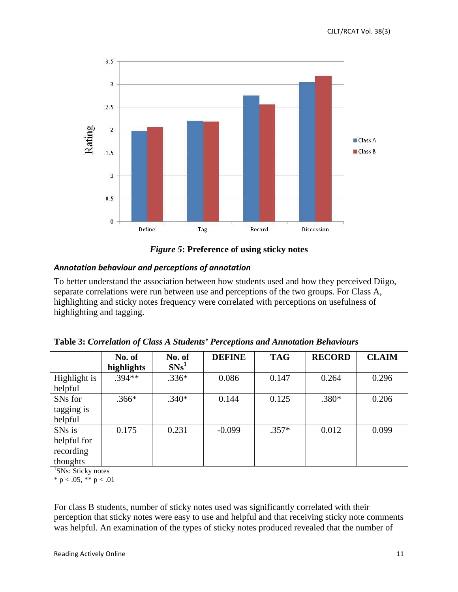

*Figure 5***: Preference of using sticky notes** 

# Annotation behaviour and perceptions of annotation

To better understand the association between how students used and how they perceived Diigo, separate correlations were run between use and perceptions of the two groups. For Class A, highlighting and sticky notes frequency were correlated with perceptions on usefulness of highlighting and tagging.

|  | Table 3: Correlation of Class A Students' Perceptions and Annotation Behaviours |
|--|---------------------------------------------------------------------------------|
|--|---------------------------------------------------------------------------------|

|                     | No. of     | No. of  | <b>DEFINE</b> | <b>TAG</b> | <b>RECORD</b> | <b>CLAIM</b> |
|---------------------|------------|---------|---------------|------------|---------------|--------------|
|                     | highlights | $SNs^1$ |               |            |               |              |
| Highlight is        | $.394**$   | $.336*$ | 0.086         | 0.147      | 0.264         | 0.296        |
| helpful             |            |         |               |            |               |              |
| SN <sub>s</sub> for | $.366*$    | $.340*$ | 0.144         | 0.125      | $.380*$       | 0.206        |
| tagging is          |            |         |               |            |               |              |
| helpful             |            |         |               |            |               |              |
| SNs is              | 0.175      | 0.231   | $-0.099$      | $.357*$    | 0.012         | 0.099        |
| helpful for         |            |         |               |            |               |              |
| recording           |            |         |               |            |               |              |
| thoughts            |            |         |               |            |               |              |

<sup>1</sup>SNs: Sticky notes

\* p < .05, \*\* p < .01

For class B students, number of sticky notes used was significantly correlated with their perception that sticky notes were easy to use and helpful and that receiving sticky note comments was helpful. An examination of the types of sticky notes produced revealed that the number of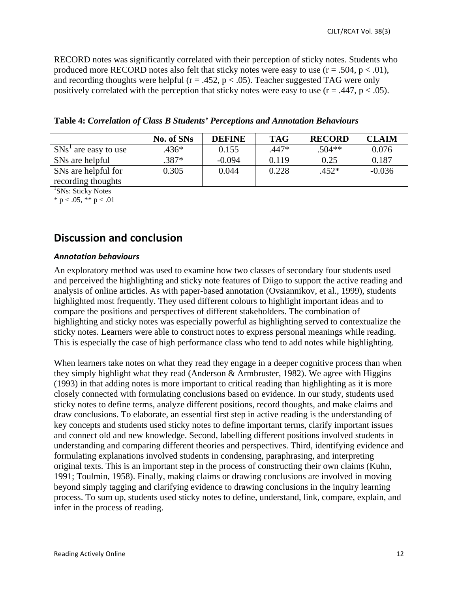RECORD notes was significantly correlated with their perception of sticky notes. Students who produced more RECORD notes also felt that sticky notes were easy to use  $(r = .504, p < .01)$ , and recording thoughts were helpful ( $r = .452$ ,  $p < .05$ ). Teacher suggested TAG were only positively correlated with the perception that sticky notes were easy to use  $(r = .447, p < .05)$ .

**Table 4:** *Correlation of Class B Students' Perceptions and Annotation Behaviours*

|                        | No. of SNs | <b>DEFINE</b> | <b>TAG</b> | <b>RECORD</b> | <b>CLAIM</b> |
|------------------------|------------|---------------|------------|---------------|--------------|
| $SNs1$ are easy to use | .436*      | 0.155         | .447*      | $.504**$      | 0.076        |
| SNs are helpful        | .387*      | $-0.094$      | 0.119      | 0.25          | 0.187        |
| SNs are helpful for    | 0.305      | 0.044         | 0.228      | $.452*$       | $-0.036$     |
| recording thoughts     |            |               |            |               |              |

<sup>1</sup>SNs: Sticky Notes

\* p < .05, \*\* p < .01

# Discussion and conclusion

#### *Annotation behaviours*

An exploratory method was used to examine how two classes of secondary four students used and perceived the highlighting and sticky note features of Diigo to support the active reading and analysis of online articles. As with paper-based annotation (Ovsiannikov, et al., 1999), students highlighted most frequently. They used different colours to highlight important ideas and to compare the positions and perspectives of different stakeholders. The combination of highlighting and sticky notes was especially powerful as highlighting served to contextualize the sticky notes. Learners were able to construct notes to express personal meanings while reading. This is especially the case of high performance class who tend to add notes while highlighting.

When learners take notes on what they read they engage in a deeper cognitive process than when they simply highlight what they read (Anderson & Armbruster, 1982). We agree with Higgins (1993) in that adding notes is more important to critical reading than highlighting as it is more closely connected with formulating conclusions based on evidence. In our study, students used sticky notes to define terms, analyze different positions, record thoughts, and make claims and draw conclusions. To elaborate, an essential first step in active reading is the understanding of key concepts and students used sticky notes to define important terms, clarify important issues and connect old and new knowledge. Second, labelling different positions involved students in understanding and comparing different theories and perspectives. Third, identifying evidence and formulating explanations involved students in condensing, paraphrasing, and interpreting original texts. This is an important step in the process of constructing their own claims (Kuhn, 1991; Toulmin, 1958). Finally, making claims or drawing conclusions are involved in moving beyond simply tagging and clarifying evidence to drawing conclusions in the inquiry learning process. To sum up, students used sticky notes to define, understand, link, compare, explain, and infer in the process of reading.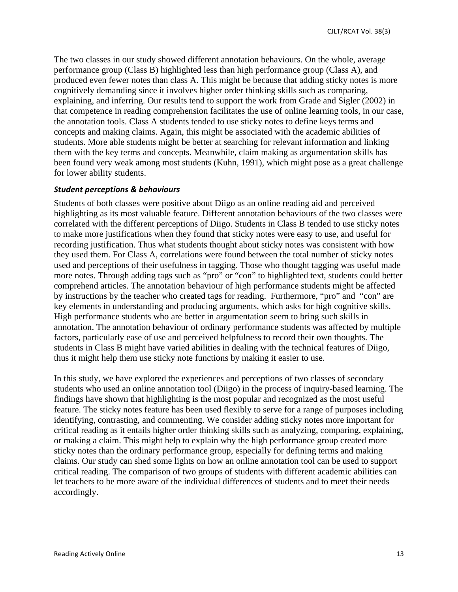The two classes in our study showed different annotation behaviours. On the whole, average performance group (Class B) highlighted less than high performance group (Class A), and produced even fewer notes than class A. This might be because that adding sticky notes is more cognitively demanding since it involves higher order thinking skills such as comparing, explaining, and inferring. Our results tend to support the work from Grade and Sigler (2002) in that competence in reading comprehension facilitates the use of online learning tools, in our case, the annotation tools. Class A students tended to use sticky notes to define keys terms and concepts and making claims. Again, this might be associated with the academic abilities of students. More able students might be better at searching for relevant information and linking them with the key terms and concepts. Meanwhile, claim making as argumentation skills has been found very weak among most students (Kuhn, 1991), which might pose as a great challenge for lower ability students.

## **Student perceptions & behaviours**

Students of both classes were positive about Diigo as an online reading aid and perceived highlighting as its most valuable feature. Different annotation behaviours of the two classes were correlated with the different perceptions of Diigo. Students in Class B tended to use sticky notes to make more justifications when they found that sticky notes were easy to use, and useful for recording justification. Thus what students thought about sticky notes was consistent with how they used them. For Class A, correlations were found between the total number of sticky notes used and perceptions of their usefulness in tagging. Those who thought tagging was useful made more notes. Through adding tags such as "pro" or "con" to highlighted text, students could better comprehend articles. The annotation behaviour of high performance students might be affected by instructions by the teacher who created tags for reading. Furthermore, "pro" and "con" are key elements in understanding and producing arguments, which asks for high cognitive skills. High performance students who are better in argumentation seem to bring such skills in annotation. The annotation behaviour of ordinary performance students was affected by multiple factors, particularly ease of use and perceived helpfulness to record their own thoughts. The students in Class B might have varied abilities in dealing with the technical features of Diigo, thus it might help them use sticky note functions by making it easier to use.

In this study, we have explored the experiences and perceptions of two classes of secondary students who used an online annotation tool (Diigo) in the process of inquiry-based learning. The findings have shown that highlighting is the most popular and recognized as the most useful feature. The sticky notes feature has been used flexibly to serve for a range of purposes including identifying, contrasting, and commenting. We consider adding sticky notes more important for critical reading as it entails higher order thinking skills such as analyzing, comparing, explaining, or making a claim. This might help to explain why the high performance group created more sticky notes than the ordinary performance group, especially for defining terms and making claims. Our study can shed some lights on how an online annotation tool can be used to support critical reading. The comparison of two groups of students with different academic abilities can let teachers to be more aware of the individual differences of students and to meet their needs accordingly.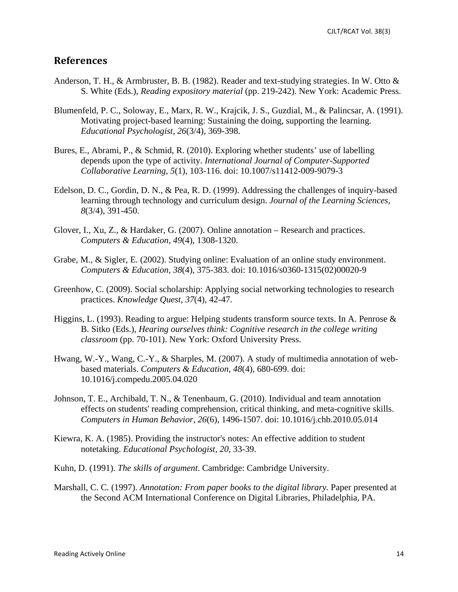## References

- Anderson, T. H., & Armbruster, B. B. (1982). Reader and text-studying strategies. In W. Otto & S. White (Eds.), *Reading expository material* (pp. 219-242). New York: Academic Press.
- Blumenfeld, P. C., Soloway, E., Marx, R. W., Krajcik, J. S., Guzdial, M., & Palincsar, A. (1991). Motivating project-based learning: Sustaining the doing, supporting the learning. *Educational Psychologist, 26*(3/4), 369-398.
- Bures, E., Abrami, P., & Schmid, R. (2010). Exploring whether students' use of labelling depends upon the type of activity. *International Journal of Computer-Supported Collaborative Learning, 5*(1), 103-116. doi: 10.1007/s11412-009-9079-3
- Edelson, D. C., Gordin, D. N., & Pea, R. D. (1999). Addressing the challenges of inquiry-based learning through technology and curriculum design. *Journal of the Learning Sciences, 8*(3/4), 391-450.
- Glover, I., Xu, Z., & Hardaker, G. (2007). Online annotation Research and practices. *Computers & Education, 49*(4), 1308-1320.
- Grabe, M., & Sigler, E. (2002). Studying online: Evaluation of an online study environment. *Computers & Education, 38*(4), 375-383. doi: 10.1016/s0360-1315(02)00020-9
- Greenhow, C. (2009). Social scholarship: Applying social networking technologies to research practices. *Knowledge Quest, 37*(4), 42-47.
- Higgins, L. (1993). Reading to argue: Helping students transform source texts. In A. Penrose & B. Sitko (Eds.), *Hearing ourselves think: Cognitive research in the college writing classroom* (pp. 70-101). New York: Oxford University Press.
- Hwang, W.-Y., Wang, C.-Y., & Sharples, M. (2007). A study of multimedia annotation of webbased materials. *Computers & Education, 48*(4), 680-699. doi: 10.1016/j.compedu.2005.04.020
- Johnson, T. E., Archibald, T. N., & Tenenbaum, G. (2010). Individual and team annotation effects on students' reading comprehension, critical thinking, and meta-cognitive skills. *Computers in Human Behavior, 26*(6), 1496-1507. doi: 10.1016/j.chb.2010.05.014
- Kiewra, K. A. (1985). Providing the instructor's notes: An effective addition to student notetaking. *Educational Psychologist, 20*, 33-39.
- Kuhn, D. (1991). *The skills of argument*. Cambridge: Cambridge University.
- Marshall, C. C. (1997). *Annotation: From paper books to the digital library.* Paper presented at the Second ACM International Conference on Digital Libraries, Philadelphia, PA.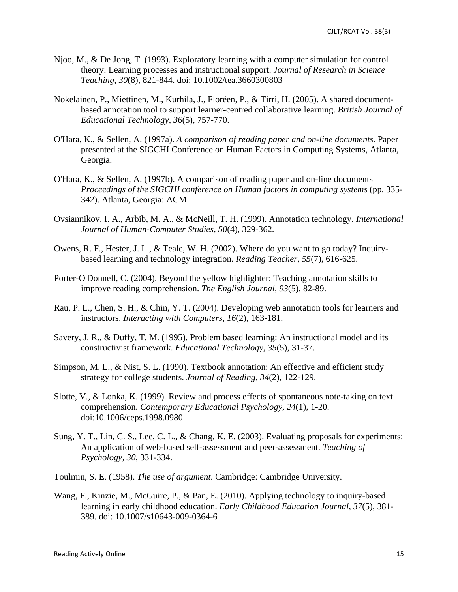- Njoo, M., & De Jong, T. (1993). Exploratory learning with a computer simulation for control theory: Learning processes and instructional support. *Journal of Research in Science Teaching, 30*(8), 821-844. doi: 10.1002/tea.3660300803
- Nokelainen, P., Miettinen, M., Kurhila, J., Floréen, P., & Tirri, H. (2005). A shared documentbased annotation tool to support learner-centred collaborative learning. *British Journal of Educational Technology, 36*(5), 757-770.
- O'Hara, K., & Sellen, A. (1997a). *A comparison of reading paper and on-line documents.* Paper presented at the SIGCHI Conference on Human Factors in Computing Systems, Atlanta, Georgia.
- O'Hara, K., & Sellen, A. (1997b). A comparison of reading paper and on-line documents *Proceedings of the SIGCHI conference on Human factors in computing systems* (pp. 335- 342). Atlanta, Georgia: ACM.
- Ovsiannikov, I. A., Arbib, M. A., & McNeill, T. H. (1999). Annotation technology. *International Journal of Human-Computer Studies, 50*(4), 329-362.
- Owens, R. F., Hester, J. L., & Teale, W. H. (2002). Where do you want to go today? Inquirybased learning and technology integration. *Reading Teacher, 55*(7), 616-625.
- Porter-O'Donnell, C. (2004). Beyond the yellow highlighter: Teaching annotation skills to improve reading comprehension. *The English Journal, 93*(5), 82-89.
- Rau, P. L., Chen, S. H., & Chin, Y. T. (2004). Developing web annotation tools for learners and instructors. *Interacting with Computers, 16*(2), 163-181.
- Savery, J. R., & Duffy, T. M. (1995). Problem based learning: An instructional model and its constructivist framework. *Educational Technology, 35*(5), 31-37.
- Simpson, M. L., & Nist, S. L. (1990). Textbook annotation: An effective and efficient study strategy for college students. *Journal of Reading, 34*(2), 122-129.
- Slotte, V., & Lonka, K. (1999). Review and process effects of spontaneous note-taking on text comprehension. *Contemporary Educational Psychology, 24*(1), 1-20. doi:10.1006/ceps.1998.0980
- Sung, Y. T., Lin, C. S., Lee, C. L., & Chang, K. E. (2003). Evaluating proposals for experiments: An application of web-based self-assessment and peer-assessment. *Teaching of Psychology, 30*, 331-334.
- Toulmin, S. E. (1958). *The use of argument*. Cambridge: Cambridge University.
- Wang, F., Kinzie, M., McGuire, P., & Pan, E. (2010). Applying technology to inquiry-based learning in early childhood education. *Early Childhood Education Journal, 37*(5), 381- 389. doi: 10.1007/s10643-009-0364-6